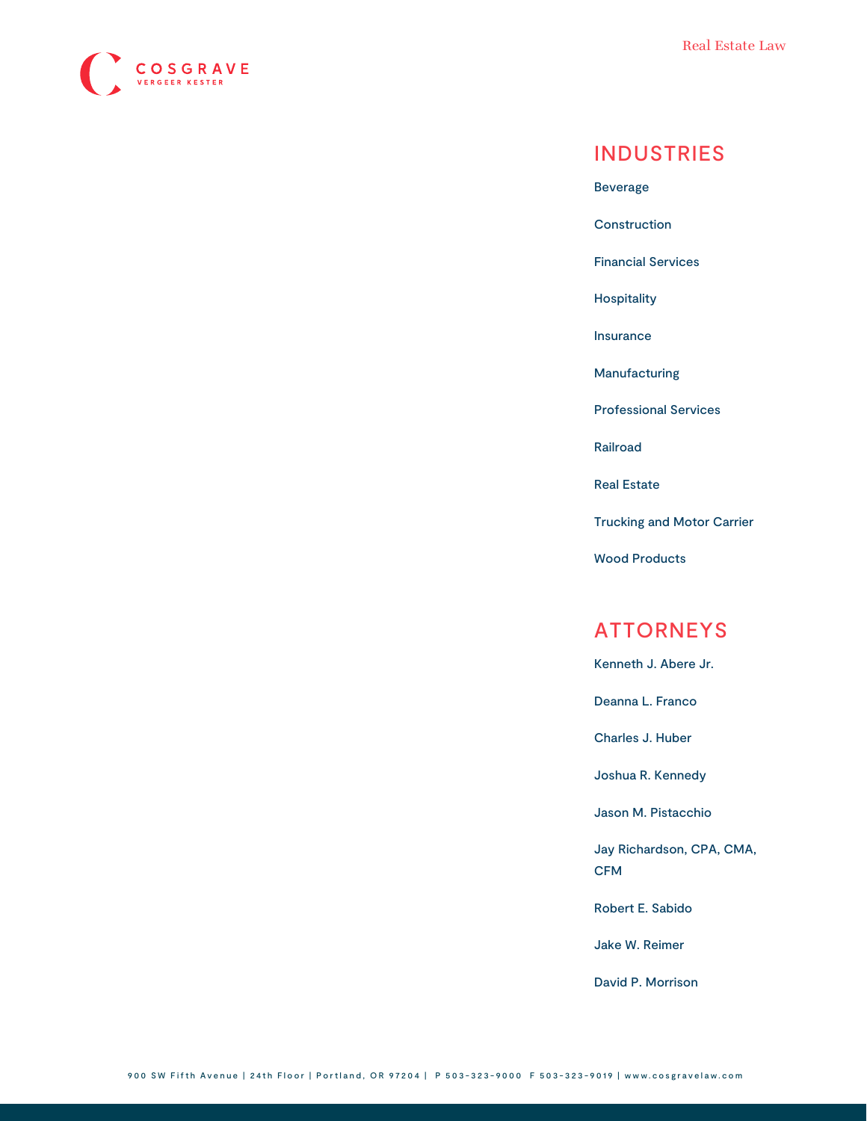

## INDUSTRIES

[Beverage](https://www.cosgravelaw.com/beverage/)

**[Construction](https://www.cosgravelaw.com/construction/)** 

[Financial Services](https://www.cosgravelaw.com/banking-financial-services-defense-attorneys/)

[Hospitality](https://www.cosgravelaw.com/hospitality/)

[Insurance](https://www.cosgravelaw.com/insurance/)

[Manufacturing](https://www.cosgravelaw.com/manufacturing/)

[Professional Services](https://www.cosgravelaw.com/professional-services/)

[Railroad](https://www.cosgravelaw.com/railroad/)

[Real Estate](https://www.cosgravelaw.com/real-estate/)

[Trucking and Motor Carrier](https://www.cosgravelaw.com/trucking-defense-attorneys/)

[Wood Products](https://www.cosgravelaw.com/timber-law/)

### ATTORNEYS

[Kenneth J. Abere Jr.](https://www.cosgravelaw.com/kenneth-abere/)

[Deanna L. Franco](https://www.cosgravelaw.com/deanna-l-franco-trust-estate-planning/)

[Charles J. Huber](https://www.cosgravelaw.com/charles-huber-business-representation-transactions/)

[Joshua R. Kennedy](https://www.cosgravelaw.com/joshua-kennedy-construction-litigation-attorney/)

[Jason M. Pistacchio](https://www.cosgravelaw.com/jason-pistacchio-construction-lien-attorney/)

[Jay Richardson, CPA, CMA,](https://www.cosgravelaw.com/tax-attorney-cpa-cma-cfm/) [CFM](https://www.cosgravelaw.com/tax-attorney-cpa-cma-cfm/)

[Robert E. Sabido](https://www.cosgravelaw.com/robert-sabido-financial-services/)

[Jake W. Reimer](https://www.cosgravelaw.com/jake-w-reimer/)

[David P. Morrison](https://www.cosgravelaw.com/david-p-morrison/)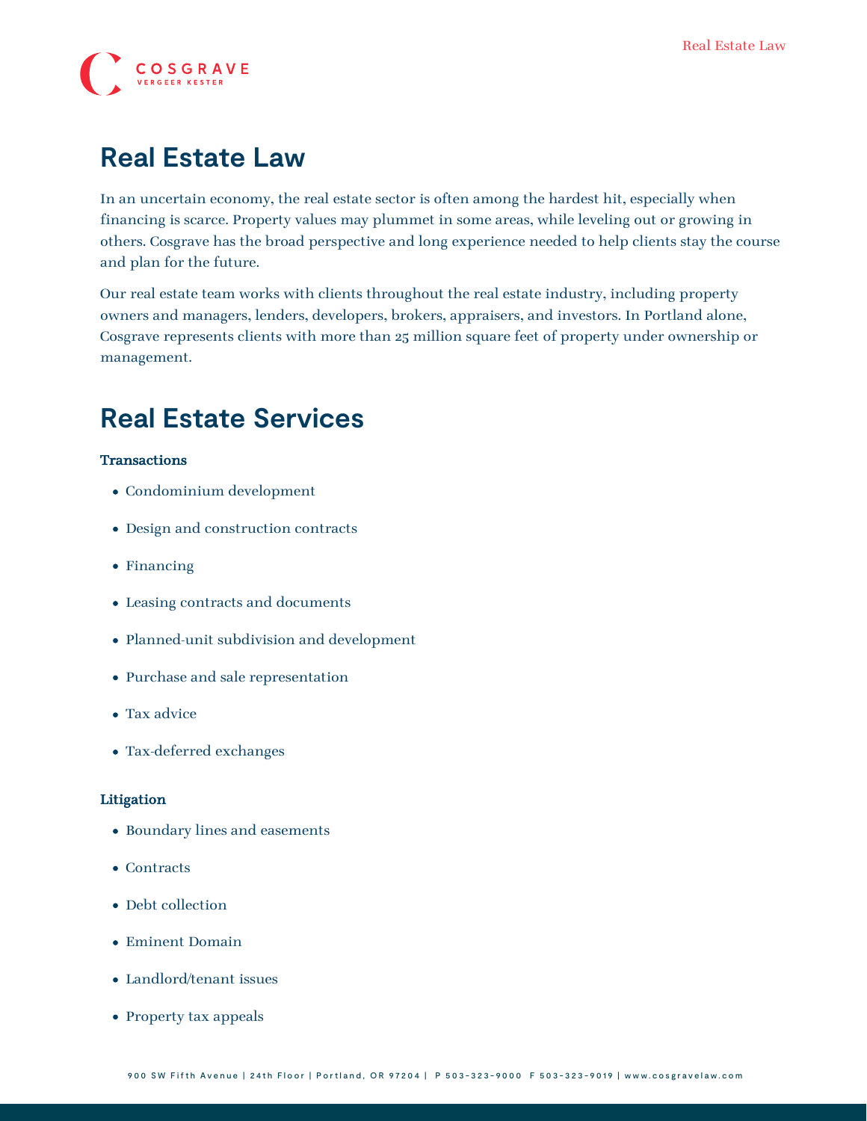

# **Real Estate Law**

In an uncertain economy, the real estate sector is often among the hardest hit, especially when financing is scarce. Property values may plummet in some areas, while leveling out or growing in others. Cosgrave has the broad perspective and long experience needed to help clients stay the course and plan for the future.

Our real estate team works with clients throughout the real estate industry, including property owners and managers, lenders, developers, brokers, appraisers, and investors. In Portland alone, Cosgrave represents clients with more than 25 million square feet of property under ownership or management.

# **Real Estate Services**

#### **Transactions**

- Condominium development
- Design and construction contracts
- Financing
- Leasing contracts and documents
- Planned-unit subdivision and development
- Purchase and sale representation
- Tax advice
- Tax-deferred exchanges

#### Litigation

- Boundary lines and easements
- Contracts
- Debt collection
- Eminent Domain
- Landlord/tenant issues
- Property tax appeals